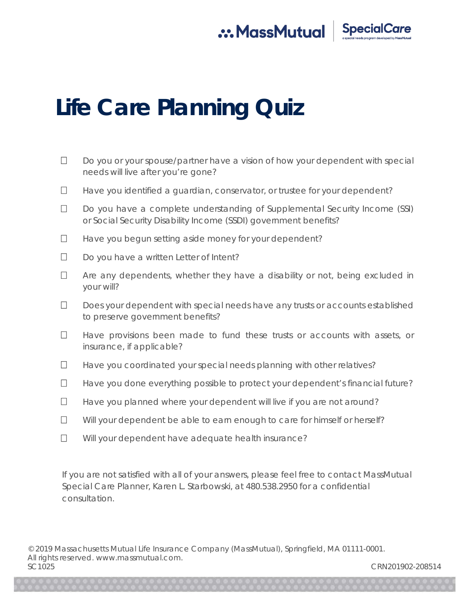## .: MassMutual



## **Life Care Planning Quiz**

- $\Box$  Do you or your spouse/partner have a vision of how your dependent with special needs will live after you're gone?
- $\Box$  Have you identified a quardian, conservator, or trustee for your dependent?
- $\square$  Do you have a complete understanding of Supplemental Security Income (SSI) or Social Security Disability Income (SSDI) government benefits?
- $\Box$  Have you begun setting aside money for your dependent?
- $\Box$  Do you have a written Letter of Intent?
- $\Box$  Are any dependents, whether they have a disability or not, being excluded in your will?
- $\Box$  Does your dependent with special needs have any trusts or accounts established to preserve government benefits?
- $\Box$  Have provisions been made to fund these trusts or accounts with assets, or insurance, if applicable?
- $\Box$  Have you coordinated your special needs planning with other relatives?
- $\Box$  Have you done everything possible to protect your dependent's financial future?
- $\Box$  Have you planned where your dependent will live if you are not around?
- $\Box$  Will your dependent be able to earn enough to care for himself or herself?
- $\Box$  Will your dependent have adequate health insurance?

If you are not satisfied with all of your answers, please feel free to contact MassMutual Special Care Planner, Karen L. Starbowski, at 480.538.2950 for a confidential consultation.

© 2019 Massachusetts Mutual Life Insurance Company (MassMutual), Springfield, MA 01111-0001. All rights reserved. www.massmutual.com. SC1025 CRN201902-208514